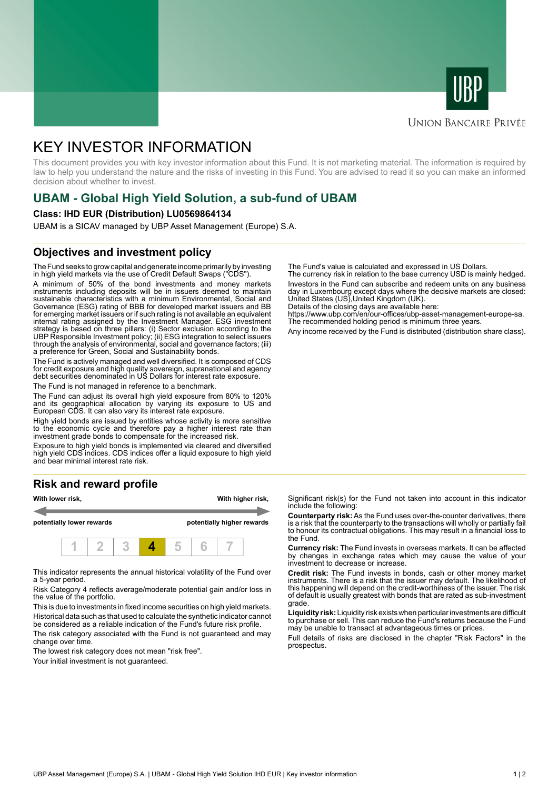



# **UNION BANCAIRE PRIVÉE**

# KEY INVESTOR INFORMATION

This document provides you with key investor information about this Fund. It is not marketing material. The information is required by law to help you understand the nature and the risks of investing in this Fund. You are advised to read it so you can make an informed decision about whether to invest.

# **UBAM - Global High Yield Solution, a sub-fund of UBAM**

#### **Class: IHD EUR (Distribution) LU0569864134**

UBAM is a SICAV managed by UBP Asset Management (Europe) S.A.

# **Objectives and investment policy**

The Fund seeks to grow capital and generate income primarily by investing in high yield markets via the use of Credit Default Swaps ("CDS").

A minimum of 50% of the bond investments and money markets instruments including deposits will be in issuers deemed to maintain sustainable characteristics with a minimum Environmental, Social and Governance (ESG) rating of BBB for developed market issuers and BB for emerging market issuers or if such rating is not available an equivalent internal rating assigned by the Investment Manager. ESG investment strategy is based on three pillars: (i) Sector exclusion according to the UBP Responsible Investment policy; (ii) ESG integration to select issuers through the analysis of environmental, social and governance factors; (iii) a preference for Green, Social and Sustainability bonds.

The Fund is actively managed and well diversified. It is composed of CDS for credit exposure and high quality sovereign, supranational and agency debt securities denominated in US Dollars for interest rate exposure.

The Fund is not managed in reference to a benchmark.

The Fund can adjust its overall high yield exposure from 80% to 120% and its geographical allocation by varying its exposure to US and European CDS. It can also vary its interest rate exposure.

High yield bonds are issued by entities whose activity is more sensitive to the economic cycle and therefore pay a higher interest rate than investment grade bonds to compensate for the increased risk.

Exposure to high yield bonds is implemented via cleared and diversified high yield CDS indices. CDS indices offer a liquid exposure to high yield and bear minimal interest rate risk.

# **Risk and reward profile**



This indicator represents the annual historical volatility of the Fund over a 5-year period.

Risk Category 4 reflects average/moderate potential gain and/or loss in the value of the portfolio.

This is due to investments in fixed income securities on high yield markets. Historical data such as that used to calculate the synthetic indicator cannot be considered as a reliable indication of the Fund's future risk profile. The risk category associated with the Fund is not guaranteed and may

change over time.

The lowest risk category does not mean "risk free".

Your initial investment is not guaranteed.

The Fund's value is calculated and expressed in US Dollars.

The currency risk in relation to the base currency USD is mainly hedged. Investors in the Fund can subscribe and redeem units on any business day in Luxembourg except days where the decisive markets are closed: United States (US),United Kingdom (UK).

Details of the closing days are available here: https://www.ubp.com/en/our-offices/ubp-asset-management-europe-sa.

The recommended holding period is minimum three years.

Any income received by the Fund is distributed (distribution share class).

Significant risk(s) for the Fund not taken into account in this indicator include the following:

**Counterparty risk:** As the Fund uses over-the-counter derivatives, there is a risk that the counterparty to the transactions will wholly or partially fail to honour its contractual obligations. This may result in a financial loss to the Fund.

**Currency risk:** The Fund invests in overseas markets. It can be affected by changes in exchange rates which may cause the value of your investment to decrease or increase.

**Credit risk:** The Fund invests in bonds, cash or other money market instruments. There is a risk that the issuer may default. The likelihood of this happening will depend on the credit-worthiness of the issuer. The risk of default is usually greatest with bonds that are rated as sub-investment grade.

**Liquidity risk:** Liquidity risk exists when particular investments are difficult to purchase or sell. This can reduce the Fund's returns because the Fund may be unable to transact at advantageous times or prices.

Full details of risks are disclosed in the chapter "Risk Factors" in the prospectus.